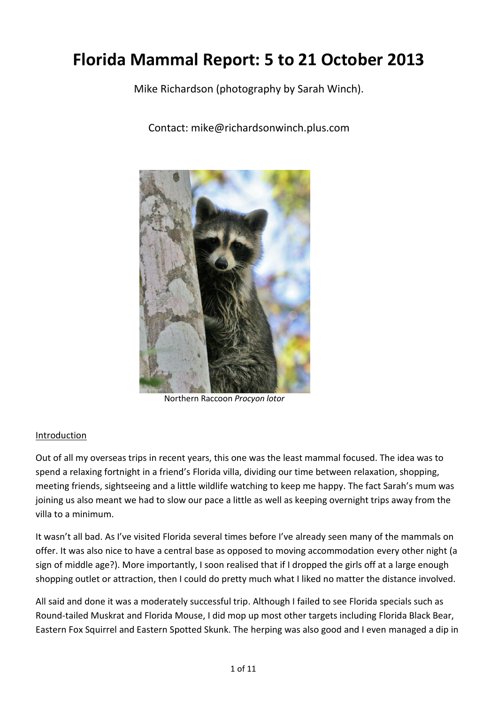# Florida Mammal Report: 5 to 21 October 2013

Mike Richardson (photography by Sarah Winch).

Contact:!mike@richardsonwinch.plus.com



Northern!Raccoon!*Procyon'lotor*

#### Introduction

Out of all my overseas trips in recent years, this one was the least mammal focused. The idea was to spend a relaxing fortnight in a friend's Florida villa, dividing our time between relaxation, shopping, meeting friends, sightseeing and a little wildlife watching to keep me happy. The fact Sarah's mum was joining us also meant we had to slow our pace a little as well as keeping overnight trips away from the villa to a minimum.

It wasn't all bad. As I've visited Florida several times before I've already seen many of the mammals on offer. It was also nice to have a central base as opposed to moving accommodation every other night (a sign of middle age?). More importantly, I soon realised that if I dropped the girls off at a large enough shopping outlet or attraction, then I could do pretty much what I liked no matter the distance involved.

All said and done it was a moderately successful trip. Although I failed to see Florida specials such as Round-tailed Muskrat and Florida Mouse, I did mop up most other targets including Florida Black Bear, Eastern Fox Squirrel and Eastern Spotted Skunk. The herping was also good and I even managed a dip in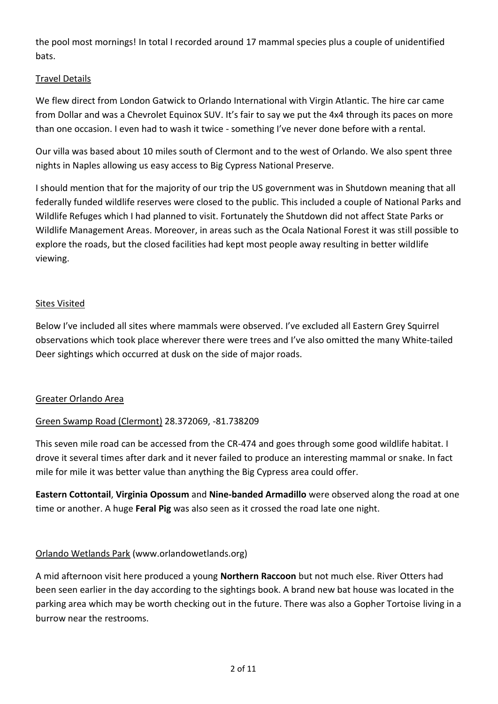the pool most mornings! In total I recorded around 17 mammal species plus a couple of unidentified bats.

## **Travel Details**

We flew direct from London Gatwick to Orlando International with Virgin Atlantic. The hire car came from Dollar and was a Chevrolet Equinox SUV. It's fair to say we put the 4x4 through its paces on more than one occasion. I even had to wash it twice - something I've never done before with a rental.

Our villa was based about 10 miles south of Clermont and to the west of Orlando. We also spent three nights in Naples allowing us easy access to Big Cypress National Preserve.

I should mention that for the majority of our trip the US government was in Shutdown meaning that all federally funded wildlife reserves were closed to the public. This included a couple of National Parks and Wildlife Refuges which I had planned to visit. Fortunately the Shutdown did not affect State Parks or Wildlife Management Areas. Moreover, in areas such as the Ocala National Forest it was still possible to explore the roads, but the closed facilities had kept most people away resulting in better wildlife viewing.

#### **Sites Visited**

Below I've included all sites where mammals were observed. I've excluded all Eastern Grey Squirrel observations which took place wherever there were trees and I've also omitted the many White-tailed Deer sightings which occurred at dusk on the side of major roads.

#### Greater Orlando Area

#### Green Swamp Road (Clermont) 28.372069, -81.738209

This seven mile road can be accessed from the CR-474 and goes through some good wildlife habitat. I drove it several times after dark and it never failed to produce an interesting mammal or snake. In fact mile for mile it was better value than anything the Big Cypress area could offer.

Eastern Cottontail, Virginia Opossum and Nine-banded Armadillo were observed along the road at one time or another. A huge **Feral Pig** was also seen as it crossed the road late one night.

#### Orlando Wetlands Park (www.orlandowetlands.org)

A mid afternoon visit here produced a young Northern Raccoon but not much else. River Otters had been seen earlier in the day according to the sightings book. A brand new bat house was located in the parking area which may be worth checking out in the future. There was also a Gopher Tortoise living in a burrow near the restrooms.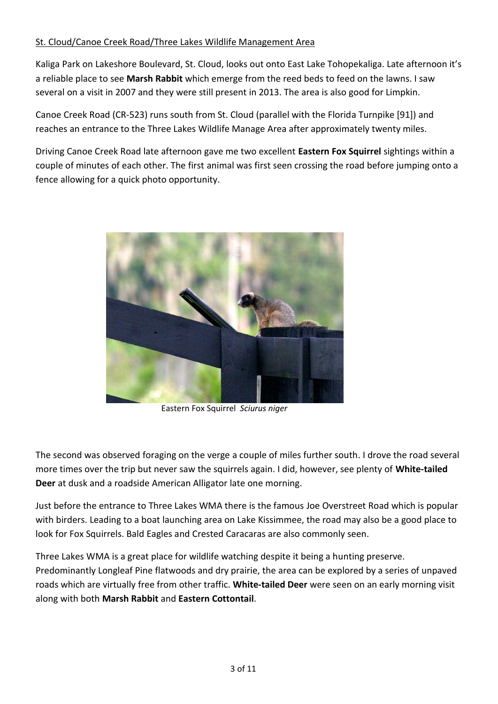## St. Cloud/Canoe Creek Road/Three Lakes Wildlife Management Area

Kaliga Park on Lakeshore Boulevard, St. Cloud, looks out onto East Lake Tohopekaliga. Late afternoon it's a reliable place to see Marsh Rabbit which emerge from the reed beds to feed on the lawns. I saw several on a visit in 2007 and they were still present in 2013. The area is also good for Limpkin.

Canoe Creek Road (CR-523) runs south from St. Cloud (parallel with the Florida Turnpike [91]) and reaches an entrance to the Three Lakes Wildlife Manage Area after approximately twenty miles.

Driving Canoe Creek Road late afternoon gave me two excellent **Eastern Fox Squirrel** sightings within a couple of minutes of each other. The first animal was first seen crossing the road before jumping onto a fence allowing for a quick photo opportunity.



Eastern!Fox!Squirrel!!*Sciurus'niger*

The second was observed foraging on the verge a couple of miles further south. I drove the road several more times over the trip but never saw the squirrels again. I did, however, see plenty of **White-tailed Deer** at dusk and a roadside American Alligator late one morning.

Just before the entrance to Three Lakes WMA there is the famous Joe Overstreet Road which is popular with birders. Leading to a boat launching area on Lake Kissimmee, the road may also be a good place to look for Fox Squirrels. Bald Eagles and Crested Caracaras are also commonly seen.

Three Lakes WMA is a great place for wildlife watching despite it being a hunting preserve. Predominantly Longleaf Pine flatwoods and dry prairie, the area can be explored by a series of unpaved roads which are virtually free from other traffic. White-tailed Deer were seen on an early morning visit along with both Marsh Rabbit and Eastern Cottontail.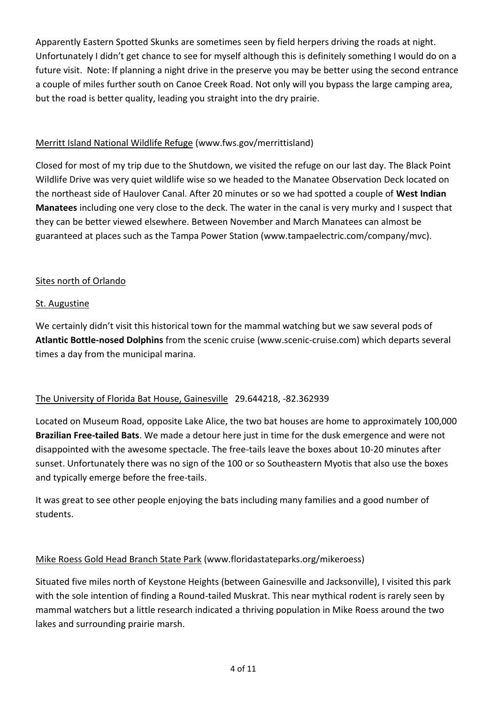Apparently Eastern Spotted Skunks are sometimes seen by field herpers driving the roads at night. Unfortunately I didn't get chance to see for myself although this is definitely something I would do on a future visit. Note: If planning a night drive in the preserve you may be better using the second entrance a couple of miles further south on Canoe Creek Road. Not only will you bypass the large camping area, but the road is better quality, leading you straight into the dry prairie.

# Merritt Island National Wildlife Refuge (www.fws.gov/merrittisland)

Closed for most of my trip due to the Shutdown, we visited the refuge on our last day. The Black Point Wildlife Drive was very quiet wildlife wise so we headed to the Manatee Observation Deck located on the northeast side of Haulover Canal. After 20 minutes or so we had spotted a couple of West Indian **Manatees** including one very close to the deck. The water in the canal is very murky and I suspect that they can be better viewed elsewhere. Between November and March Manatees can almost be guaranteed at places such as the Tampa Power Station (www.tampaelectric.com/company/mvc).

## Sites north of Orlando

## St. Augustine

We certainly didn't visit this historical town for the mammal watching but we saw several pods of Atlantic Bottle-nosed Dolphins from the scenic cruise (www.scenic-cruise.com) which departs several times a day from the municipal marina.

# The University of Florida Bat House, Gainesville 29.644218, -82.362939

Located on Museum Road, opposite Lake Alice, the two bat houses are home to approximately 100,000 **Brazilian Free-tailed Bats**. We made a detour here just in time for the dusk emergence and were not disappointed with the awesome spectacle. The free-tails leave the boxes about 10-20 minutes after sunset. Unfortunately there was no sign of the 100 or so Southeastern Myotis that also use the boxes and typically emerge before the free-tails.

It was great to see other people enjoying the bats including many families and a good number of students.

#### Mike Roess Gold Head Branch State Park (www.floridastateparks.org/mikeroess)

Situated five miles north of Keystone Heights (between Gainesville and Jacksonville), I visited this park with the sole intention of finding a Round-tailed Muskrat. This near mythical rodent is rarely seen by mammal watchers but a little research indicated a thriving population in Mike Roess around the two lakes and surrounding prairie marsh.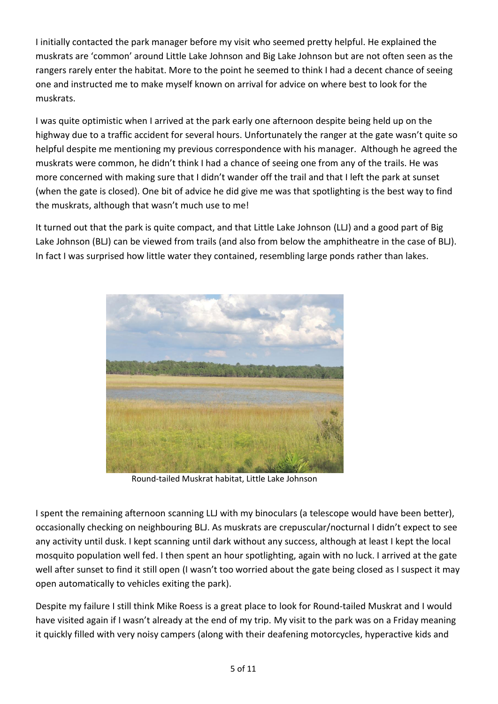I initially contacted the park manager before my visit who seemed pretty helpful. He explained the muskrats are 'common' around Little Lake Johnson and Big Lake Johnson but are not often seen as the rangers rarely enter the habitat. More to the point he seemed to think I had a decent chance of seeing one and instructed me to make myself known on arrival for advice on where best to look for the muskrats.

I was quite optimistic when I arrived at the park early one afternoon despite being held up on the highway due to a traffic accident for several hours. Unfortunately the ranger at the gate wasn't quite so helpful despite me mentioning my previous correspondence with his manager. Although he agreed the muskrats were common, he didn't think I had a chance of seeing one from any of the trails. He was more concerned with making sure that I didn't wander off the trail and that I left the park at sunset (when the gate is closed). One bit of advice he did give me was that spotlighting is the best way to find the muskrats, although that wasn't much use to me!

It turned out that the park is quite compact, and that Little Lake Johnson (LLJ) and a good part of Big Lake Johnson (BLJ) can be viewed from trails (and also from below the amphitheatre in the case of BLJ). In fact I was surprised how little water they contained, resembling large ponds rather than lakes.



Round-tailed Muskrat habitat, Little Lake Johnson

I spent the remaining afternoon scanning LLJ with my binoculars (a telescope would have been better), occasionally checking on neighbouring BLJ. As muskrats are crepuscular/nocturnal I didn't expect to see any activity until dusk. I kept scanning until dark without any success, although at least I kept the local mosquito population well fed. I then spent an hour spotlighting, again with no luck. I arrived at the gate well after sunset to find it still open (I wasn't too worried about the gate being closed as I suspect it may open automatically to vehicles exiting the park).

Despite my failure I still think Mike Roess is a great place to look for Round-tailed Muskrat and I would have visited again if I wasn't already at the end of my trip. My visit to the park was on a Friday meaning it quickly filled with very noisy campers (along with their deafening motorcycles, hyperactive kids and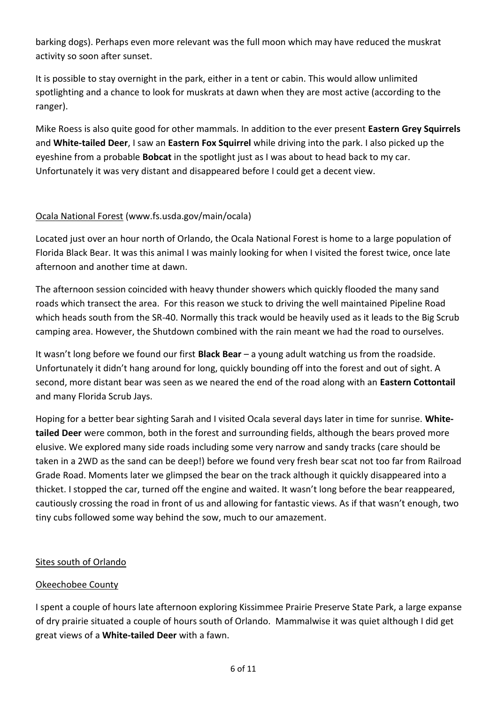barking dogs). Perhaps even more relevant was the full moon which may have reduced the muskrat activity so soon after sunset.

It is possible to stay overnight in the park, either in a tent or cabin. This would allow unlimited spotlighting and a chance to look for muskrats at dawn when they are most active (according to the ranger).

Mike Roess is also quite good for other mammals. In addition to the ever present **Eastern Grey Squirrels** and **White-tailed Deer**, I saw an **Eastern Fox Squirrel** while driving into the park. I also picked up the eyeshine from a probable **Bobcat** in the spotlight just as I was about to head back to my car. Unfortunately it was very distant and disappeared before I could get a decent view.

# Ocala!National!Forest (www.fs.usda.gov/main/ocala)

Located just over an hour north of Orlando, the Ocala National Forest is home to a large population of Florida Black Bear. It was this animal I was mainly looking for when I visited the forest twice, once late afternoon and another time at dawn.

The afternoon session coincided with heavy thunder showers which quickly flooded the many sand roads which transect the area. For this reason we stuck to driving the well maintained Pipeline Road which heads south from the SR-40. Normally this track would be heavily used as it leads to the Big Scrub camping area. However, the Shutdown combined with the rain meant we had the road to ourselves.

It wasn't long before we found our first **Black Bear** – a young adult watching us from the roadside. Unfortunately it didn't hang around for long, quickly bounding off into the forest and out of sight. A second, more distant bear was seen as we neared the end of the road along with an **Eastern Cottontail** and many Florida Scrub Jays.

Hoping for a better bear sighting Sarah and I visited Ocala several days later in time for sunrise. White**tailed Deer** were common, both in the forest and surrounding fields, although the bears proved more elusive. We explored many side roads including some very narrow and sandy tracks (care should be taken in a 2WD as the sand can be deep!) before we found very fresh bear scat not too far from Railroad Grade Road. Moments later we glimpsed the bear on the track although it quickly disappeared into a thicket. I stopped the car, turned off the engine and waited. It wasn't long before the bear reappeared, cautiously crossing the road in front of us and allowing for fantastic views. As if that wasn't enough, two tiny cubs followed some way behind the sow, much to our amazement.

#### Sites south of Orlando

#### Okeechobee County

I spent a couple of hours late afternoon exploring Kissimmee Prairie Preserve State Park, a large expanse of dry prairie situated a couple of hours south of Orlando. Mammalwise it was quiet although I did get great views of a **White-tailed Deer** with a fawn.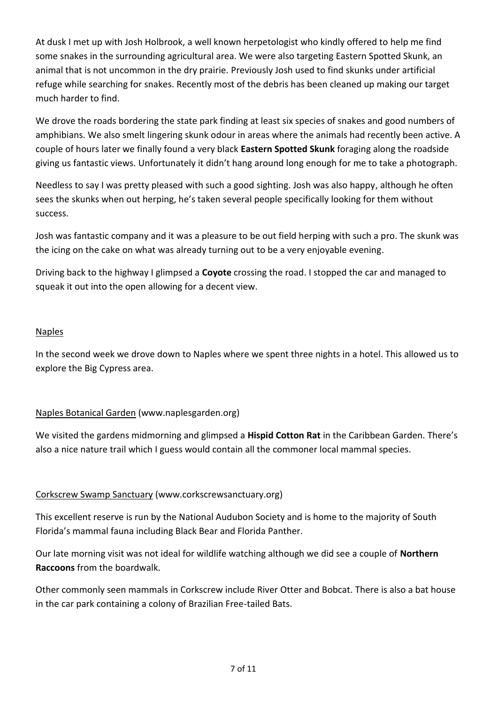At dusk I met up with Josh Holbrook, a well known herpetologist who kindly offered to help me find some snakes in the surrounding agricultural area. We were also targeting Eastern Spotted Skunk, an animal that is not uncommon in the dry prairie. Previously Josh used to find skunks under artificial refuge while searching for snakes. Recently most of the debris has been cleaned up making our target much harder to find.

We drove the roads bordering the state park finding at least six species of snakes and good numbers of amphibians. We also smelt lingering skunk odour in areas where the animals had recently been active. A couple of hours later we finally found a very black **Eastern Spotted Skunk** foraging along the roadside giving us fantastic views. Unfortunately it didn't hang around long enough for me to take a photograph.

Needless to say I was pretty pleased with such a good sighting. Josh was also happy, although he often sees the skunks when out herping, he's taken several people specifically looking for them without success.

Josh was fantastic company and it was a pleasure to be out field herping with such a pro. The skunk was the icing on the cake on what was already turning out to be a very enjoyable evening.

Driving back to the highway I glimpsed a **Coyote** crossing the road. I stopped the car and managed to squeak it out into the open allowing for a decent view.

#### Naples

In the second week we drove down to Naples where we spent three nights in a hotel. This allowed us to explore the Big Cypress area.

# Naples Botanical Garden (www.naplesgarden.org)

We visited the gardens midmorning and glimpsed a **Hispid Cotton Rat** in the Caribbean Garden. There's also a nice nature trail which I guess would contain all the commoner local mammal species.

# Corkscrew Swamp Sanctuary (www.corkscrewsanctuary.org)

This excellent reserve is run by the National Audubon Society and is home to the majority of South Florida's mammal fauna including Black Bear and Florida Panther.

Our late morning visit was not ideal for wildlife watching although we did see a couple of **Northern Raccoons** from the boardwalk.

Other commonly seen mammals in Corkscrew include River Otter and Bobcat. There is also a bat house in the car park containing a colony of Brazilian Free-tailed Bats.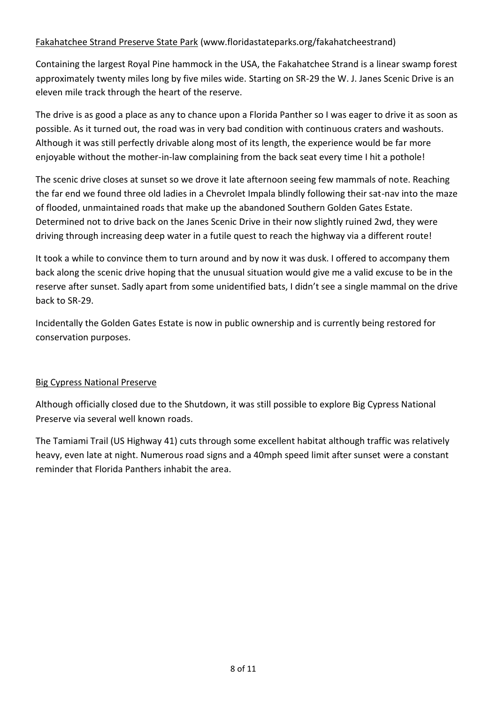# Fakahatchee Strand Preserve State Park (www.floridastateparks.org/fakahatcheestrand)

Containing the largest Royal Pine hammock in the USA, the Fakahatchee Strand is a linear swamp forest approximately twenty miles long by five miles wide. Starting on SR-29 the W. J. Janes Scenic Drive is an eleven mile track through the heart of the reserve.

The drive is as good a place as any to chance upon a Florida Panther so I was eager to drive it as soon as possible. As it turned out, the road was in very bad condition with continuous craters and washouts. Although it was still perfectly drivable along most of its length, the experience would be far more enjoyable without the mother-in-law complaining from the back seat every time I hit a pothole!

The scenic drive closes at sunset so we drove it late afternoon seeing few mammals of note. Reaching the far end we found three old ladies in a Chevrolet Impala blindly following their sat-nav into the maze of flooded, unmaintained roads that make up the abandoned Southern Golden Gates Estate. Determined not to drive back on the Janes Scenic Drive in their now slightly ruined 2wd, they were driving through increasing deep water in a futile quest to reach the highway via a different route!

It took a while to convince them to turn around and by now it was dusk. I offered to accompany them back along the scenic drive hoping that the unusual situation would give me a valid excuse to be in the reserve after sunset. Sadly apart from some unidentified bats, I didn't see a single mammal on the drive hack to SR-29.

Incidentally the Golden Gates Estate is now in public ownership and is currently being restored for conservation purposes.

#### **Big Cypress National Preserve**

Although officially closed due to the Shutdown, it was still possible to explore Big Cypress National Preserve via several well known roads.

The Tamiami Trail (US Highway 41) cuts through some excellent habitat although traffic was relatively heavy, even late at night. Numerous road signs and a 40mph speed limit after sunset were a constant reminder that Florida Panthers inhabit the area.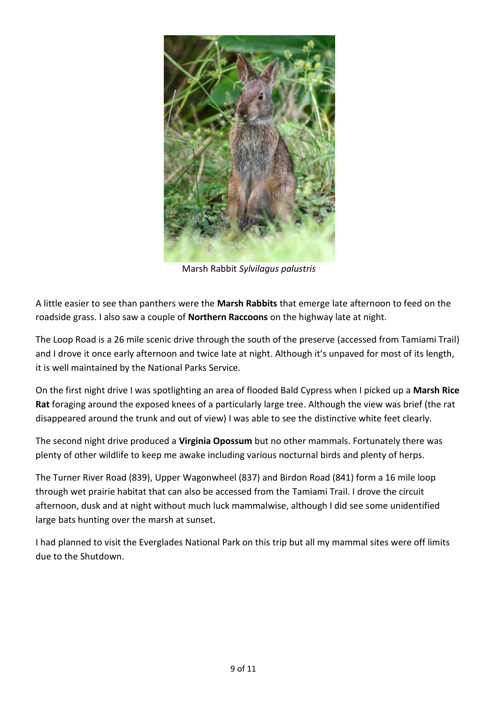

Marsh!Rabbit *Sylvilagus'palustris*

A little easier to see than panthers were the **Marsh Rabbits** that emerge late afternoon to feed on the roadside grass. I also saw a couple of **Northern Raccoons** on the highway late at night.

The Loop Road is a 26 mile scenic drive through the south of the preserve (accessed from Tamiami Trail) and I drove it once early afternoon and twice late at night. Although it's unpaved for most of its length, it is well maintained by the National Parks Service.

On the first night drive I was spotlighting an area of flooded Bald Cypress when I picked up a Marsh Rice Rat foraging around the exposed knees of a particularly large tree. Although the view was brief (the rat disappeared around the trunk and out of view) I was able to see the distinctive white feet clearly.

The second night drive produced a **Virginia Opossum** but no other mammals. Fortunately there was plenty of other wildlife to keep me awake including various nocturnal birds and plenty of herps.

The Turner River Road (839), Upper Wagonwheel (837) and Birdon Road (841) form a 16 mile loop through wet prairie habitat that can also be accessed from the Tamiami Trail. I drove the circuit afternoon, dusk and at night without much luck mammalwise, although I did see some unidentified large bats hunting over the marsh at sunset.

I had planned to visit the Everglades National Park on this trip but all my mammal sites were off limits due to the Shutdown.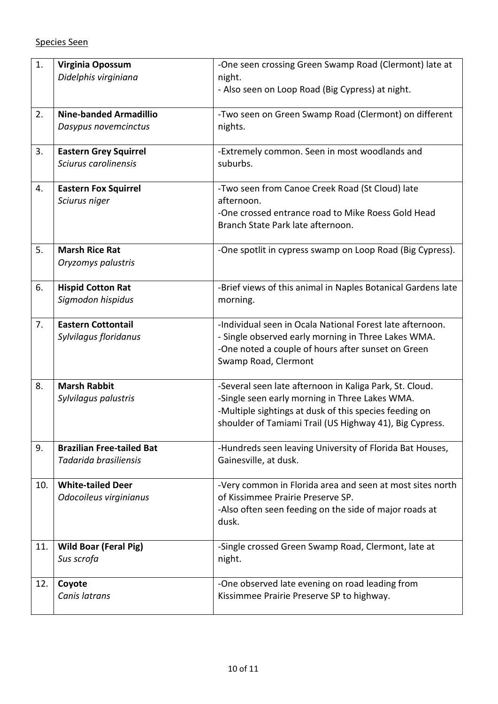| 1.  | Virginia Opossum<br>Didelphis virginiana                  | -One seen crossing Green Swamp Road (Clermont) late at<br>night.<br>- Also seen on Loop Road (Big Cypress) at night.                                                                                                           |
|-----|-----------------------------------------------------------|--------------------------------------------------------------------------------------------------------------------------------------------------------------------------------------------------------------------------------|
| 2.  | <b>Nine-banded Armadillio</b><br>Dasypus novemcinctus     | -Two seen on Green Swamp Road (Clermont) on different<br>nights.                                                                                                                                                               |
| 3.  | <b>Eastern Grey Squirrel</b><br>Sciurus carolinensis      | -Extremely common. Seen in most woodlands and<br>suburbs.                                                                                                                                                                      |
| 4.  | <b>Eastern Fox Squirrel</b><br>Sciurus niger              | -Two seen from Canoe Creek Road (St Cloud) late<br>afternoon.<br>-One crossed entrance road to Mike Roess Gold Head<br>Branch State Park late afternoon.                                                                       |
| 5.  | <b>Marsh Rice Rat</b><br>Oryzomys palustris               | -One spotlit in cypress swamp on Loop Road (Big Cypress).                                                                                                                                                                      |
| 6.  | <b>Hispid Cotton Rat</b><br>Sigmodon hispidus             | -Brief views of this animal in Naples Botanical Gardens late<br>morning.                                                                                                                                                       |
| 7.  | <b>Eastern Cottontail</b><br>Sylvilagus floridanus        | -Individual seen in Ocala National Forest late afternoon.<br>- Single observed early morning in Three Lakes WMA.<br>-One noted a couple of hours after sunset on Green<br>Swamp Road, Clermont                                 |
| 8.  | <b>Marsh Rabbit</b><br>Sylvilagus palustris               | -Several seen late afternoon in Kaliga Park, St. Cloud.<br>-Single seen early morning in Three Lakes WMA.<br>-Multiple sightings at dusk of this species feeding on<br>shoulder of Tamiami Trail (US Highway 41), Big Cypress. |
| 9.  | <b>Brazilian Free-tailed Bat</b><br>Tadarida brasiliensis | -Hundreds seen leaving University of Florida Bat Houses,<br>Gainesville, at dusk.                                                                                                                                              |
| 10. | <b>White-tailed Deer</b><br>Odocoileus virginianus        | -Very common in Florida area and seen at most sites north<br>of Kissimmee Prairie Preserve SP.<br>-Also often seen feeding on the side of major roads at<br>dusk.                                                              |
| 11. | <b>Wild Boar (Feral Pig)</b><br>Sus scrofa                | -Single crossed Green Swamp Road, Clermont, late at<br>night.                                                                                                                                                                  |
| 12. | Coyote<br>Canis latrans                                   | -One observed late evening on road leading from<br>Kissimmee Prairie Preserve SP to highway.                                                                                                                                   |